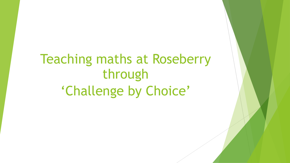Teaching maths at Roseberry through 'Challenge by Choice'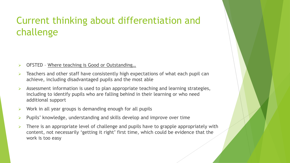### Current thinking about differentiation and challenge

- ➢ OFSTED Where teaching is Good or Outstanding…
- ➢ Teachers and other staff have consistently high expectations of what each pupil can achieve, including disadvantaged pupils and the most able
- Assessment information is used to plan appropriate teaching and learning strategies, including to identify pupils who are falling behind in their learning or who need additional support
- $\triangleright$  Work in all year groups is demanding enough for all pupils
- ➢ Pupils' knowledge, understanding and skills develop and improve over time
- There is an appropriate level of challenge and pupils have to grapple appropriately with content, not necessarily 'getting it right' first time, which could be evidence that the work is too easy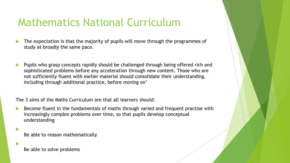## Mathematics National Curriculum

- The expectation is that the majority of pupils will move through the programmes of study at broadly the same pace.
- Pupils who grasp concepts rapidly should be challenged through being offered rich and sophisticated problems before any acceleration through new content. Those who are not sufficiently fluent with earlier material should consolidate their understanding, including through additional practice, before moving on'

The 3 aims of the Maths Curriculum are that all learners should:

 Become fluent in the fundamentals of maths through varied and frequent practise with increasingly complex problems over time, so that pupils develop conceptual understanding

Be able to reason mathematically

Be able to solve problems

 $\blacktriangleright$ 

 $\blacktriangleright$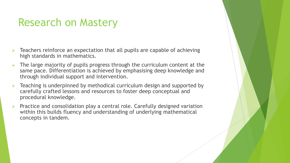## Research on Mastery

- ➢ Teachers reinforce an expectation that all pupils are capable of achieving high standards in mathematics.
- The large majority of pupils progress through the curriculum content at the same pace. Differentiation is achieved by emphasising deep knowledge and through individual support and intervention.
- ➢ Teaching is underpinned by methodical curriculum design and supported by carefully crafted lessons and resources to foster deep conceptual and procedural knowledge.
- ➢ Practice and consolidation play a central role. Carefully designed variation within this builds fluency and understanding of underlying mathematical concepts in tandem.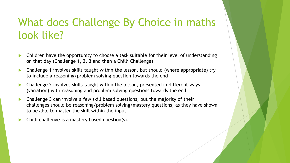## What does Challenge By Choice in maths look like?

- Children have the opportunity to choose a task suitable for their level of understanding on that day (Challenge 1, 2, 3 and then a Chilli Challenge)
- Challenge 1 involves skills taught within the lesson, but should (where appropriate) try to include a reasoning/problem solving question towards the end
- Challenge 2 involves skills taught within the lesson, presented in different ways (variation) with reasoning and problem solving questions towards the end
- Challenge 3 can involve a few skill based questions, but the majority of their challenges should be reasoning/problem solving/mastery questions, as they have shown to be able to master the skill within the input.
- Chilli challenge is a mastery based question(s).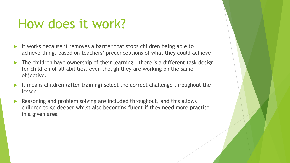# How does it work?

- It works because it removes a barrier that stops children being able to achieve things based on teachers' preconceptions of what they could achieve
- $\blacktriangleright$  The children have ownership of their learning there is a different task design for children of all abilities, even though they are working on the same objective.
- It means children (after training) select the correct challenge throughout the lesson
- Reasoning and problem solving are included throughout, and this allows children to go deeper whilst also becoming fluent if they need more practise in a given area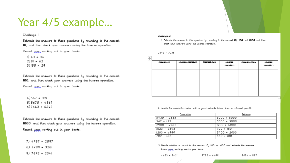### Year 4/5 example...

#### Challenge 1

Estimate the answers to these questions by rounding to the nearest 10, and then check your answers using the inverse operation.

Record your working out in your books.

 $1) 43 + 36$  $2)81 + 62$  $3)155 + 29$ 

Estimate the answers to these questions by rounding to the nearest 100, and then check your answers using the inverse operation. Record upuc working out in your books.

 $4)567 + 321$  $535675 + 4567$  $6)7643 + 6543$ 

Estimate the answers to these questions by rounding to the nearest 1000, and then check your answers using the inverse operation.

Record your working out in your books.

 $7) 4987 + 2897$ 

 $8)$  4789 + 3281

 $9)$  7892 + 2341

#### Challenge 2

1. Estimate the answer to this question by rounding to the nearest 10, 100 and 1000 and then check your answers using the inverse operation.

#### $2543 + 3236$

| Nearest 10 | Inverse operation | Nearest 100 | Inverse<br>operation | Nearest 1000 | Inverse<br>operation |
|------------|-------------------|-------------|----------------------|--------------|----------------------|
|            |                   |             |                      |              |                      |
|            |                   |             |                      |              |                      |
|            |                   |             |                      |              |                      |

2. Match the calculation below with a good estimate (draw lines in coloured pencil).

| Calculation   | Estimate      |
|---------------|---------------|
| $5430 + 2865$ | $3000 + 5000$ |
| $567 + 123$   | $5000 + 5000$ |
| $7988 + 4982$ | $1200 + 5000$ |
| $5123 + 4898$ | $1700 + 150$  |
| $1203 + 4999$ | $5400 + 2900$ |
| $702 + 162$   | $550 + 100$   |

3. Decide whether to round to the nearest 10, 100 or 1000 and estimate the answers. Show your working out in your book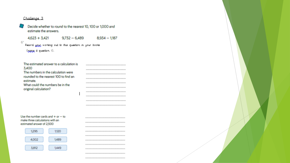#### Challenge 3

Decide whether to round to the nearest 10, 100 or 1,000 and estimate the answers.

 $4,623 + 3,421$ 

 $9,732 - 6,489$  $8,934 - 1,187$ 

61 Record your working out to this question in your books (gang it question 1).

| The estimated answer to a calculation is |  |
|------------------------------------------|--|
| 3,400                                    |  |
| The numbers in the calculation were      |  |
| rounded to the nearest 100 to find an    |  |
| estimate.                                |  |
| What could the numbers be in the         |  |
| original calculation?                    |  |
|                                          |  |
|                                          |  |
|                                          |  |

Use the number cards and  $+$  or  $-$  to make three calculations with an estimated answer of 2,500

| ---- |                      |
|------|----------------------|
| 002  | <b>STATE COMPANY</b> |
|      | ч                    |

|  |  |  |  |  |  |  |  | ______________________   |  |  |
|--|--|--|--|--|--|--|--|--------------------------|--|--|
|  |  |  |  |  |  |  |  |                          |  |  |
|  |  |  |  |  |  |  |  |                          |  |  |
|  |  |  |  |  |  |  |  |                          |  |  |
|  |  |  |  |  |  |  |  |                          |  |  |
|  |  |  |  |  |  |  |  | ______________________   |  |  |
|  |  |  |  |  |  |  |  |                          |  |  |
|  |  |  |  |  |  |  |  | _______________________  |  |  |
|  |  |  |  |  |  |  |  |                          |  |  |
|  |  |  |  |  |  |  |  | ________________________ |  |  |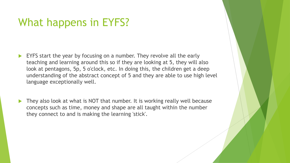### What happens in EYFS?

- EYFS start the year by focusing on a number. They revolve all the early teaching and learning around this so if they are looking at 5, they will also look at pentagons, 5p, 5 o'clock, etc. In doing this, the children get a deep understanding of the abstract concept of 5 and they are able to use high level language exceptionally well.
- They also look at what is NOT that number. It is working really well because concepts such as time, money and shape are all taught within the number they connect to and is making the learning 'stick'.